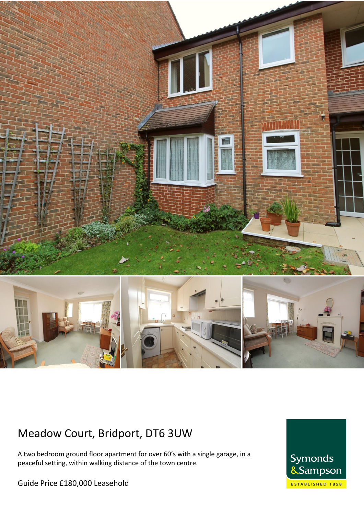

# Meadow Court, Bridport, DT6 3UW

A two bedroom ground floor apartment for over 60's with a single garage, in a peaceful setting, within walking distance of the town centre.

Guide Price £180,000 Leasehold